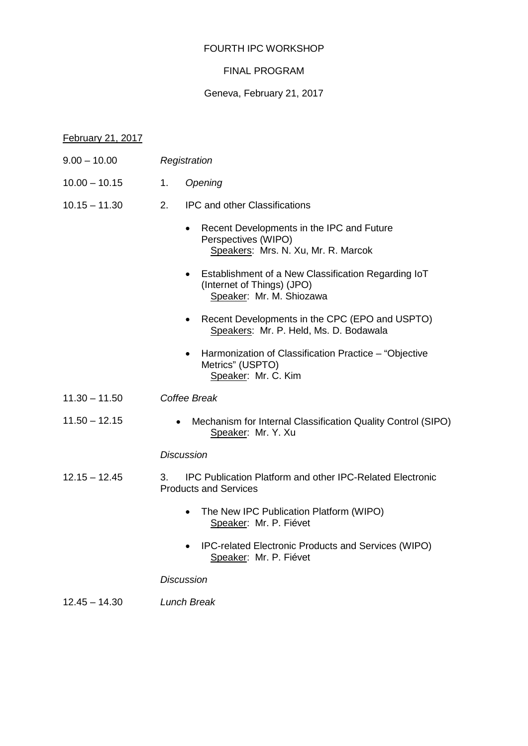# FOURTH IPC WORKSHOP

# FINAL PROGRAM

## Geneva, February 21, 2017

## February 21, 2017

- 9.00 10.00 *Registration*
- 10.00 10.15 1. *Opening*
- 10.15 11.30 2. IPC and other Classifications
	- Recent Developments in the IPC and Future Perspectives (WIPO) Speakers: Mrs. N. Xu, Mr. R. Marcok
	- Establishment of a New Classification Regarding IoT (Internet of Things) (JPO) Speaker: Mr. M. Shiozawa
	- Recent Developments in the CPC (EPO and USPTO) Speakers: Mr. P. Held, Ms. D. Bodawala
	- Harmonization of Classification Practice "Objective Metrics" (USPTO) Speaker: Mr. C. Kim
- 11.30 11.50 *Coffee Break*
- 11.50 12.15 Mechanism for Internal Classification Quality Control (SIPO) Speaker: Mr. Y. Xu

#### *Discussion*

- 12.15 12.45 3. IPC Publication Platform and other IPC-Related Electronic Products and Services
	- The New IPC Publication Platform (WIPO) Speaker: Mr. P. Fiévet
	- IPC-related Electronic Products and Services (WIPO) Speaker: Mr. P. Fiévet

#### *Discussion*

12.45 – 14.30 *Lunch Break*